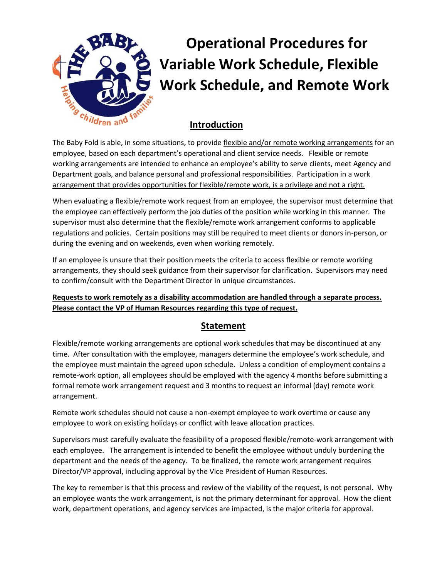

# **Operational Procedures for Variable Work Schedule, Flexible Work Schedule, and Remote Work**

## **Introduction**

The Baby Fold is able, in some situations, to provide flexible and/or remote working arrangements for an employee, based on each department's operational and client service needs. Flexible or remote working arrangements are intended to enhance an employee's ability to serve clients, meet Agency and Department goals, and balance personal and professional responsibilities. Participation in a work arrangement that provides opportunities for flexible/remote work, is a privilege and not a right.

When evaluating a flexible/remote work request from an employee, the supervisor must determine that the employee can effectively perform the job duties of the position while working in this manner. The supervisor must also determine that the flexible/remote work arrangement conforms to applicable regulations and policies. Certain positions may still be required to meet clients or donors in-person, or during the evening and on weekends, even when working remotely.

If an employee is unsure that their position meets the criteria to access flexible or remote working arrangements, they should seek guidance from their supervisor for clarification. Supervisors may need to confirm/consult with the Department Director in unique circumstances.

#### **Requests to work remotely as a disability accommodation are handled through a separate process. Please contact the VP of Human Resources regarding this type of request.**

## **Statement**

Flexible/remote working arrangements are optional work schedules that may be discontinued at any time. After consultation with the employee, managers determine the employee's work schedule, and the employee must maintain the agreed upon schedule. Unless a condition of employment contains a remote-work option, all employees should be employed with the agency 4 months before submitting a formal remote work arrangement request and 3 months to request an informal (day) remote work arrangement.

Remote work schedules should not cause a non-exempt employee to work overtime or cause any employee to work on existing holidays or conflict with leave allocation practices.

Supervisors must carefully evaluate the feasibility of a proposed flexible/remote-work arrangement with each employee. The arrangement is intended to benefit the employee without unduly burdening the department and the needs of the agency. To be finalized, the remote work arrangement requires Director/VP approval, including approval by the Vice President of Human Resources.

The key to remember is that this process and review of the viability of the request, is not personal. Why an employee wants the work arrangement, is not the primary determinant for approval. How the client work, department operations, and agency services are impacted, is the major criteria for approval.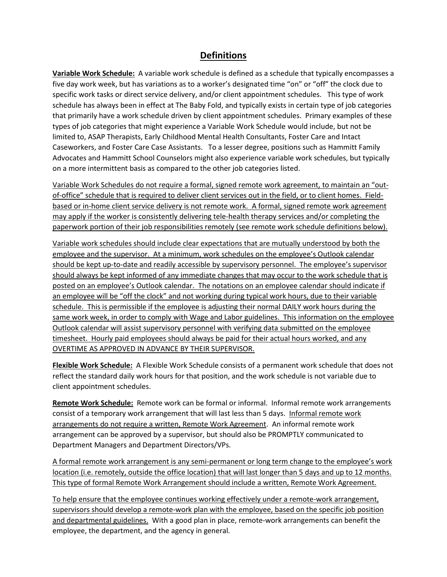#### **Definitions**

**Variable Work Schedule:** A variable work schedule is defined as a schedule that typically encompasses a five day work week, but has variations as to a worker's designated time "on" or "off" the clock due to specific work tasks or direct service delivery, and/or client appointment schedules. This type of work schedule has always been in effect at The Baby Fold, and typically exists in certain type of job categories that primarily have a work schedule driven by client appointment schedules. Primary examples of these types of job categories that might experience a Variable Work Schedule would include, but not be limited to, ASAP Therapists, Early Childhood Mental Health Consultants, Foster Care and Intact Caseworkers, and Foster Care Case Assistants. To a lesser degree, positions such as Hammitt Family Advocates and Hammitt School Counselors might also experience variable work schedules, but typically on a more intermittent basis as compared to the other job categories listed.

Variable Work Schedules do not require a formal, signed remote work agreement, to maintain an "outof-office" schedule that is required to deliver client services out in the field, or to client homes. Fieldbased or in-home client service delivery is not remote work. A formal, signed remote work agreement may apply if the worker is consistently delivering tele-health therapy services and/or completing the paperwork portion of their job responsibilities remotely (see remote work schedule definitions below).

Variable work schedules should include clear expectations that are mutually understood by both the employee and the supervisor. At a minimum, work schedules on the employee's Outlook calendar should be kept up-to-date and readily accessible by supervisory personnel. The employee's supervisor should always be kept informed of any immediate changes that may occur to the work schedule that is posted on an employee's Outlook calendar. The notations on an employee calendar should indicate if an employee will be "off the clock" and not working during typical work hours, due to their variable schedule. This is permissible if the employee is adjusting their normal DAILY work hours during the same work week, in order to comply with Wage and Labor guidelines. This information on the employee Outlook calendar will assist supervisory personnel with verifying data submitted on the employee timesheet. Hourly paid employees should always be paid for their actual hours worked, and any OVERTIME AS APPROVED IN ADVANCE BY THEIR SUPERVISOR.

**Flexible Work Schedule:** A Flexible Work Schedule consists of a permanent work schedule that does not reflect the standard daily work hours for that position, and the work schedule is not variable due to client appointment schedules.

**Remote Work Schedule:** Remote work can be formal or informal. Informal remote work arrangements consist of a temporary work arrangement that will last less than 5 days. Informal remote work arrangements do not require a written, Remote Work Agreement. An informal remote work arrangement can be approved by a supervisor, but should also be PROMPTLY communicated to Department Managers and Department Directors/VPs.

A formal remote work arrangement is any semi-permanent or long term change to the employee's work location (i.e. remotely, outside the office location) that will last longer than 5 days and up to 12 months. This type of formal Remote Work Arrangement should include a written, Remote Work Agreement.

To help ensure that the employee continues working effectively under a remote-work arrangement, supervisors should develop a remote-work plan with the employee, based on the specific job position and departmental guidelines. With a good plan in place, remote-work arrangements can benefit the employee, the department, and the agency in general.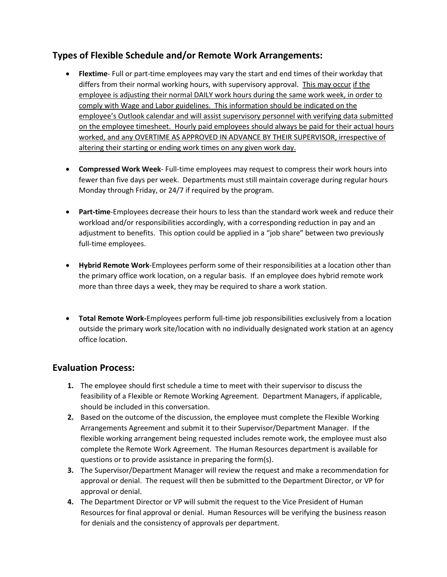## **Types of Flexible Schedule and/or Remote Work Arrangements:**

- **Flextime** Full or part-time employees may vary the start and end times of their workday that differs from their normal working hours, with supervisory approval. This may occur if the employee is adjusting their normal DAILY work hours during the same work week, in order to comply with Wage and Labor guidelines. This information should be indicated on the employee's Outlook calendar and will assist supervisory personnel with verifying data submitted on the employee timesheet. Hourly paid employees should always be paid for their actual hours worked, and any OVERTIME AS APPROVED IN ADVANCE BY THEIR SUPERVISOR, irrespective of altering their starting or ending work times on any given work day.
- **Compressed Work Week** Full-time employees may request to compress their work hours into fewer than five days per week. Departments must still maintain coverage during regular hours Monday through Friday, or 24/7 if required by the program.
- **Part-time**-Employees decrease their hours to less than the standard work week and reduce their workload and/or responsibilities accordingly, with a corresponding reduction in pay and an adjustment to benefits. This option could be applied in a "job share" between two previously full-time employees.
- **Hybrid Remote Work**-Employees perform some of their responsibilities at a location other than the primary office work location, on a regular basis. If an employee does hybrid remote work more than three days a week, they may be required to share a work station.
- **Total Remote Work-**Employees perform full-time job responsibilities exclusively from a location outside the primary work site/location with no individually designated work station at an agency office location.

#### **Evaluation Process:**

- **1.** The employee should first schedule a time to meet with their supervisor to discuss the feasibility of a Flexible or Remote Working Agreement. Department Managers, if applicable, should be included in this conversation.
- **2.** Based on the outcome of the discussion, the employee must complete the Flexible Working Arrangements Agreement and submit it to their Supervisor/Department Manager. If the flexible working arrangement being requested includes remote work, the employee must also complete the Remote Work Agreement. The Human Resources department is available for questions or to provide assistance in preparing the form(s).
- **3.** The Supervisor/Department Manager will review the request and make a recommendation for approval or denial. The request will then be submitted to the Department Director, or VP for approval or denial.
- **4.** The Department Director or VP will submit the request to the Vice President of Human Resources for final approval or denial. Human Resources will be verifying the business reason for denials and the consistency of approvals per department.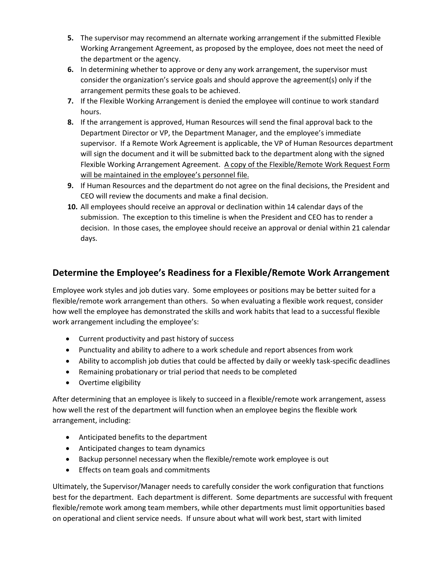- **5.** The supervisor may recommend an alternate working arrangement if the submitted Flexible Working Arrangement Agreement, as proposed by the employee, does not meet the need of the department or the agency.
- **6.** In determining whether to approve or deny any work arrangement, the supervisor must consider the organization's service goals and should approve the agreement(s) only if the arrangement permits these goals to be achieved.
- **7.** If the Flexible Working Arrangement is denied the employee will continue to work standard hours.
- **8.** If the arrangement is approved, Human Resources will send the final approval back to the Department Director or VP, the Department Manager, and the employee's immediate supervisor. If a Remote Work Agreement is applicable, the VP of Human Resources department will sign the document and it will be submitted back to the department along with the signed Flexible Working Arrangement Agreement. A copy of the Flexible/Remote Work Request Form will be maintained in the employee's personnel file.
- **9.** If Human Resources and the department do not agree on the final decisions, the President and CEO will review the documents and make a final decision.
- **10.** All employees should receive an approval or declination within 14 calendar days of the submission. The exception to this timeline is when the President and CEO has to render a decision. In those cases, the employee should receive an approval or denial within 21 calendar days.

### **Determine the Employee's Readiness for a Flexible/Remote Work Arrangement**

Employee work styles and job duties vary. Some employees or positions may be better suited for a flexible/remote work arrangement than others. So when evaluating a flexible work request, consider how well the employee has demonstrated the skills and work habits that lead to a successful flexible work arrangement including the employee's:

- Current productivity and past history of success
- Punctuality and ability to adhere to a work schedule and report absences from work
- Ability to accomplish job duties that could be affected by daily or weekly task-specific deadlines
- Remaining probationary or trial period that needs to be completed
- Overtime eligibility

After determining that an employee is likely to succeed in a flexible/remote work arrangement, assess how well the rest of the department will function when an employee begins the flexible work arrangement, including:

- Anticipated benefits to the department
- Anticipated changes to team dynamics
- Backup personnel necessary when the flexible/remote work employee is out
- **Effects on team goals and commitments**

Ultimately, the Supervisor/Manager needs to carefully consider the work configuration that functions best for the department. Each department is different. Some departments are successful with frequent flexible/remote work among team members, while other departments must limit opportunities based on operational and client service needs. If unsure about what will work best, start with limited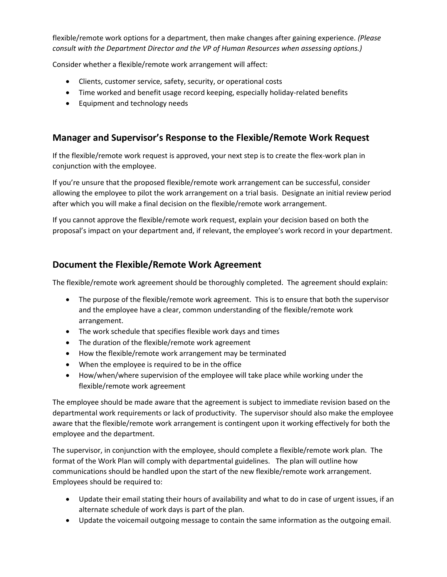flexible/remote work options for a department, then make changes after gaining experience. *(Please consult with the Department Director and the VP of Human Resources when assessing options.)*

Consider whether a flexible/remote work arrangement will affect:

- Clients, customer service, safety, security, or operational costs
- Time worked and benefit usage record keeping, especially holiday-related benefits
- **•** Equipment and technology needs

## **Manager and Supervisor's Response to the Flexible/Remote Work Request**

If the flexible/remote work request is approved, your next step is to create the flex-work plan in conjunction with the employee.

If you're unsure that the proposed flexible/remote work arrangement can be successful, consider allowing the employee to pilot the work arrangement on a trial basis. Designate an initial review period after which you will make a final decision on the flexible/remote work arrangement.

If you cannot approve the flexible/remote work request, explain your decision based on both the proposal's impact on your department and, if relevant, the employee's work record in your department.

### **Document the Flexible/Remote Work Agreement**

The flexible/remote work agreement should be thoroughly completed. The agreement should explain:

- The purpose of the flexible/remote work agreement. This is to ensure that both the supervisor and the employee have a clear, common understanding of the flexible/remote work arrangement.
- The work schedule that specifies flexible work days and times
- The duration of the flexible/remote work agreement
- How the flexible/remote work arrangement may be terminated
- When the employee is required to be in the office
- How/when/where supervision of the employee will take place while working under the flexible/remote work agreement

The employee should be made aware that the agreement is subject to immediate revision based on the departmental work requirements or lack of productivity. The supervisor should also make the employee aware that the flexible/remote work arrangement is contingent upon it working effectively for both the employee and the department.

The supervisor, in conjunction with the employee, should complete a flexible/remote work plan. The format of the Work Plan will comply with departmental guidelines. The plan will outline how communications should be handled upon the start of the new flexible/remote work arrangement. Employees should be required to:

- Update their email stating their hours of availability and what to do in case of urgent issues, if an alternate schedule of work days is part of the plan.
- Update the voicemail outgoing message to contain the same information as the outgoing email.